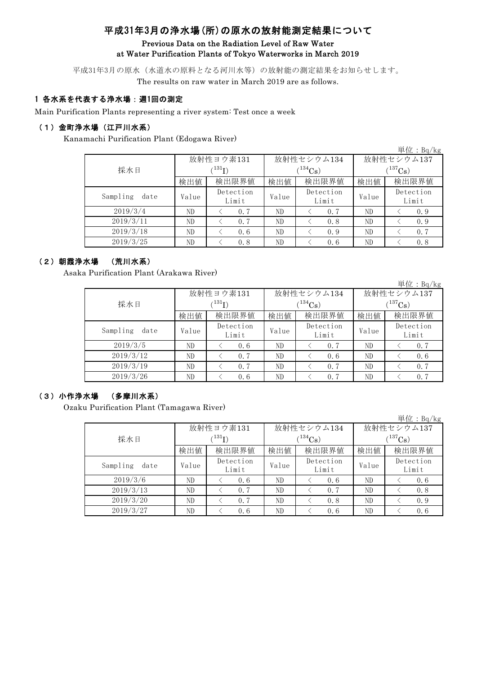# 平成31年3月の浄水場(所)の原水の放射能測定結果について

#### Previous Data on the Radiation Level of Raw Water at Water Purification Plants of Tokyo Waterworks in March 2019

平成31年3月の原水(水道水の原料となる河川水等)の放射能の測定結果をお知らせします。 The results on raw water in March 2019 are as follows.

### 1 各水系を代表する浄水場:週1回の測定

Main Purification Plants representing a river system: Test once a week

#### (1)金町浄水場(江戸川水系)

Kanamachi Purification Plant (Edogawa River)

|                  |       |                    |       |                    |              | 里位: $Bq/kg$        |  |
|------------------|-------|--------------------|-------|--------------------|--------------|--------------------|--|
|                  |       | 放射性ヨウ素131          |       | 放射性セシウム134         | 放射性セシウム137   |                    |  |
| 採水日              |       | (131)              |       | $134C_8$ )         | $(^{137}Cs)$ |                    |  |
|                  | 検出値   | 検出限界値              | 検出値   | 検出限界値              | 検出値          | 検出限界値              |  |
| Sampling<br>date | Value | Detection<br>Limit | Value | Detection<br>Limit | Value        | Detection<br>Limit |  |
| 2019/3/4         | ND    | 0.7                | ND    | 0.7                | ND           | 0.9                |  |
| 2019/3/11        | ND    | 0.7                | ND    | 0.8                | ND           | 0.9                |  |
| 2019/3/18        | ND    | 0.6                | ND    | 0.9                | ND           | 0.7                |  |
| 2019/3/25        | ND    | 0.8                | ND    | 0.6                | ND.          | 0.8                |  |

### (2)朝霞浄水場 (荒川水系)

Asaka Purification Plant (Arakawa River)

|                  |       |                    |       |                    |                  | $+1$ $\mu$ . Dq/ Kg |  |
|------------------|-------|--------------------|-------|--------------------|------------------|---------------------|--|
|                  |       | 放射性ヨウ素131          |       | 放射性セシウム134         | 放射性セシウム137       |                     |  |
| 採水日              |       | $^{131}I)$         |       | $1^{134}Cs$ )      | $(137)_{\rm Cs}$ |                     |  |
|                  | 検出値   | 検出限界値              | 検出値   | 検出限界値              | 検出値              | 検出限界値               |  |
| Sampling<br>date | Value | Detection<br>Limit | Value | Detection<br>Limit | Value            | Detection<br>Limit  |  |
| 2019/3/5         | ND    | 0.6                | ND    | 0.7                | ND               | 0, 7                |  |
| 2019/3/12        | ND    | 0.7                | ND    | 0.6                | ND               | 0.6                 |  |
| 2019/3/19        | ND    | 0.7                | ND    | 0.7                | ND               | 0.7                 |  |
| 2019/3/26        | ND    | 0.6                | ND    | 0.7                | ND.              | 0.7                 |  |

### (3)小作浄水場 (多摩川水系)

Ozaku Purification Plant (Tamagawa River)

検出値 | 検出値 | 検出限界値 | 検出値 Value Detection Value Detection Value ND < 0.6 ND < 0.6 ND < 0.6 ND < 0.7 ND < 0.7 ND < 0.8 ND < 0.7 ND < 0.8 ND < 0.9 2019/3/27 ND < 0.6 ND < 0.6 ND < 0.6 採水日 放射性ヨウ素131  $(^{131}I)$ 放射性セシウム134  $(^{134}Cs)$ 放射性セシウム137  $(^{137}\mathrm{Cs})$ 検出限界値 |検出値 |検出限界値 Sampling date Limit Detection Limit Detection Limit 2019/3/6 2019/3/13 2019/3/20

 $M/L$ <sub> $R_2$ </sub> $R_2$ 

単位:Bq/kg

出 $\bigoplus$ : D<sub>a</sub>/kg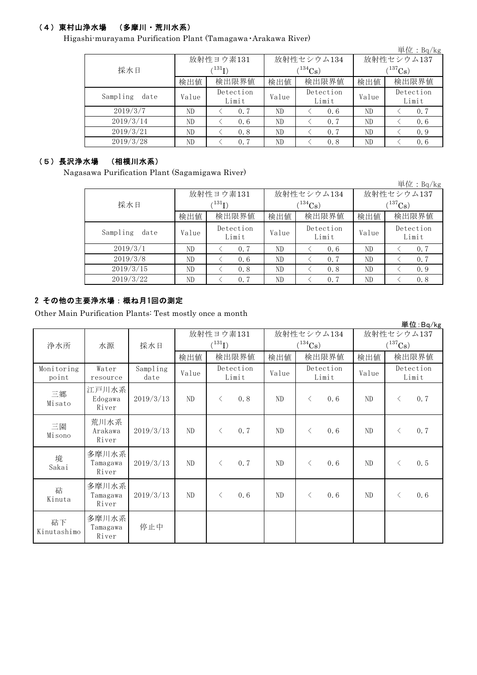## (4)東村山浄水場 (多摩川・荒川水系)

Higashi-murayama Purification Plant (Tamagawa・Arakawa River)

|                  |       |                    |       |                    |                | 単位: $Bq/kg$        |  |  |
|------------------|-------|--------------------|-------|--------------------|----------------|--------------------|--|--|
|                  |       | 放射性ヨウ素131          |       | 放射性セシウム134         | 放射性セシウム137     |                    |  |  |
| 採水日              |       | $^{131}$ I)        |       | $(134)$ Cs         | $(^{137}Cs)$   |                    |  |  |
|                  | 検出値   | 検出限界値              | 検出値   | 検出限界値              | 検出値            | 検出限界値              |  |  |
| Sampling<br>date | Value | Detection<br>Limit | Value | Detection<br>Limit | Value          | Detection<br>Limit |  |  |
| 2019/3/7         | ND    | 0.7                | ND    | 0.6                | ND             | 0, 7               |  |  |
| 2019/3/14        | ND    | 0.6                | ND    | 0.7                | ND             | 0.6                |  |  |
| 2019/3/21        | ND    | 0.8                | ND    | 0.7                | ND             | 0.9                |  |  |
| 2019/3/28        | ND    | 0.7                | ND    | 0.8                | N <sub>D</sub> | 0.6                |  |  |

## (5)長沢浄水場 (相模川水系)

Nagasawa Purification Plant (Sagamigawa River)

|                  |       |                    |       |                    |             | 単位: $Bq/kg$        |  |  |
|------------------|-------|--------------------|-------|--------------------|-------------|--------------------|--|--|
|                  |       | 放射性ヨウ素131          |       | 放射性セシウム134         | 放射性セシウム137  |                    |  |  |
| 採水日              |       | (131)              |       | $(134)$ Cs)        | $(137)$ Cs) |                    |  |  |
|                  | 検出値   | 検出限界値              | 検出値   | 検出限界値              | 検出値         | 検出限界値              |  |  |
| Sampling<br>date | Value | Detection<br>Limit | Value | Detection<br>Limit | Value       | Detection<br>Limit |  |  |
| 2019/3/1         | ND    | 0.7                | ND    | 0.6                | ND          | 0.7                |  |  |
| 2019/3/8         | ND    | 0.6                | ND    | 0.7                | ND          | 0.7                |  |  |
| 2019/3/15        | ND    | 0.8                | ND    | 0.8                | ND          | 0.9                |  |  |
| 2019/3/22        | ND    | 0.7                | ND    | 0.7                | ND          | 0.8                |  |  |

### 2 その他の主要浄水場:概ね月1回の測定

Other Main Purification Plants: Test mostly once a month

|                     |                            |                  |           |             |                    |                |              |                    |            |                       | 単位:Bg/kg           |
|---------------------|----------------------------|------------------|-----------|-------------|--------------------|----------------|--------------|--------------------|------------|-----------------------|--------------------|
|                     |                            |                  | 放射性ヨウ素131 |             |                    |                | 放射性セシウム134   |                    | 放射性セシウム137 |                       |                    |
| 浄水所                 | 水源                         | 採水日              |           | $(^{131}I)$ |                    |                | $(^{134}Cs)$ |                    |            | $(^{137}\mathrm{Cs})$ |                    |
|                     |                            |                  | 検出値       |             | 検出限界値              | 検出値            |              | 検出限界値              | 検出値        |                       | 検出限界値              |
| Monitoring<br>point | Water<br>resource          | Sampling<br>date | Value     |             | Detection<br>Limit | Value          |              | Detection<br>Limit | Value      |                       | Detection<br>Limit |
| 三郷<br>Misato        | 江戸川水系<br>Edogawa<br>River  | 2019/3/13        | ND        | $\lt$       | 0.8                | ND             | $\langle$    | 0.6                | ND         | $\langle$             | 0.7                |
| 三園<br>Misono        | 荒川水系<br>Arakawa<br>River   | 2019/3/13        | ND        | $\langle$   | 0.7                | ND             | $\lt$        | 0.6                | ND         | $\lt$                 | 0.7                |
| 境<br>Sakai          | 多摩川水系<br>Tamagawa<br>River | 2019/3/13        | ND        | $\langle$   | 0.7                | ND.            | $\langle$    | 0.6                | ND         | $\langle$             | 0.5                |
| 砧<br>Kinuta         | 多摩川水系<br>Tamagawa<br>River | 2019/3/13        | ND        | $\lt$       | 0.6                | N <sub>D</sub> | $\langle$    | 0.6                | ND         | $\lt$                 | 0.6                |
| 砧下<br>Kinutashimo   | 多摩川水系<br>Tamagawa<br>River | 停止中              |           |             |                    |                |              |                    |            |                       |                    |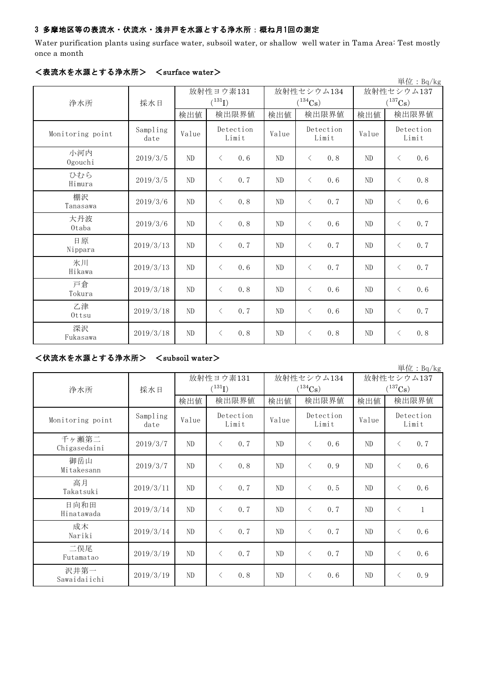### 3 多摩地区等の表流水・伏流水・浅井戸を水源とする浄水所:概ね月1回の測定

Water purification plants using surface water, subsoil water, or shallow well water in Tama Area: Test mostly once a month

|                  |                  |                |                    |                |                    |                       | 単位: $Bq/kg$        |  |
|------------------|------------------|----------------|--------------------|----------------|--------------------|-----------------------|--------------------|--|
|                  |                  | 放射性ヨウ素131      |                    |                | 放射性セシウム134         | 放射性セシウム137            |                    |  |
| 浄水所              | 採水日              | $(^{131}I)$    |                    |                | $(^{134}Cs)$       | $(^{137}\mathrm{Cs})$ |                    |  |
|                  |                  | 検出値            | 検出限界値              | 検出値            | 検出限界値              | 検出値                   | 検出限界値              |  |
| Monitoring point | Sampling<br>date | Value          | Detection<br>Limit | Value          | Detection<br>Limit | Value                 | Detection<br>Limit |  |
| 小河内<br>Ogouchi   | 2019/3/5         | N <sub>D</sub> | 0.6<br>$\langle$   | ND             | 0.8<br>$\lt$       | N <sub>D</sub>        | 0.6<br>$\langle$   |  |
| ひむら<br>Himura    | 2019/3/5         | ND             | 0.7<br>$\langle$   | N <sub>D</sub> | $\langle$<br>0.6   | ND                    | 0.8<br>$\langle$   |  |
| 棚沢<br>Tanasawa   | 2019/3/6         | ND             | 0.8<br>$\lt$       | N <sub>D</sub> | 0.7<br>$\lt$       | N <sub>D</sub>        | 0.6<br>$\langle$   |  |
| 大丹波<br>Otaba     | 2019/3/6         | ND             | 0.8<br>$\langle$   | N <sub>D</sub> | $\langle$<br>0.6   | N <sub>D</sub>        | 0.7<br>$\langle$   |  |
| 日原<br>Nippara    | 2019/3/13        | ND             | 0.7<br>$\langle$   | N <sub>D</sub> | 0.7<br>$\langle$   | ND                    | 0.7<br>$\lt$       |  |
| 氷川<br>Hikawa     | 2019/3/13        | ND             | 0.6<br>$\langle$   | N <sub>D</sub> | 0.7<br>$\langle$   | ND                    | 0.7<br>$\langle$   |  |
| 戸倉<br>Tokura     | 2019/3/18        | ND             | 0.8<br>$\langle$   | N <sub>D</sub> | 0.6<br>$\lt$       | N <sub>D</sub>        | 0.6<br>$\langle$   |  |
| 乙津<br>$0$ ttsu   | 2019/3/18        | ND             | 0.7<br>$\lt$       | ND             | $\langle$<br>0.6   | ND                    | 0.7<br>$\langle$   |  |
| 深沢<br>Fukasawa   | 2019/3/18        | ND             | 0.8<br>$\lt$       | ND             | $\langle$<br>0.8   | ND                    | 0.8<br>$\lt$       |  |

### <表流水を水源とする浄水所> <surface water>

<伏流水を水源とする浄水所> <subsoil water>

|                       |                  |       |                          |                |                                     |                                     | 単位: Bq/kg                 |  |
|-----------------------|------------------|-------|--------------------------|----------------|-------------------------------------|-------------------------------------|---------------------------|--|
| 浄水所                   | 採水日              |       | 放射性ヨウ素131<br>$(^{131}I)$ |                | 放射性セシウム134<br>$(^{134}\mathrm{Cs})$ | 放射性セシウム137<br>$(^{137}\mathrm{Cs})$ |                           |  |
|                       |                  | 検出値   | 検出限界値                    | 検出値            | 検出限界値                               | 検出値                                 | 検出限界値                     |  |
| Monitoring point      | Sampling<br>date | Value | Detection<br>Limit       | Value          | Detection<br>Limit                  | Value                               | Detection<br>Limit        |  |
| 千ヶ瀬第二<br>Chigasedaini | 2019/3/7         | ND    | 0.7<br>$\langle$         | ND             | 0.6<br>$\langle$                    | ND                                  | 0.7<br>$\langle$          |  |
| 御岳山<br>Mitakesann     | 2019/3/7         | ND    | 0.8<br>$\lt$             | ND             | 0.9<br>$\langle$                    | ND                                  | 0.6<br>$\langle$          |  |
| 高月<br>Takatsuki       | 2019/3/11        | ND    | 0.7<br>$\lt$             | ND             | 0.5<br>$\lt$                        | ND                                  | 0.6<br>$\lt$              |  |
| 日向和田<br>Hinatawada    | 2019/3/14        | ND    | 0.7<br>$\lt$             | ND.            | 0.7<br>$\lt$                        | ND                                  | $\langle$<br>$\mathbf{1}$ |  |
| 成木<br>Nariki          | 2019/3/14        | ND    | 0.7<br>$\lt$             | N <sub>D</sub> | 0.7<br>$\langle$                    | ND                                  | 0.6<br>$\langle$          |  |
| 二俣尾<br>Futamatao      | 2019/3/19        | ND    | 0.7<br>$\langle$         | ND.            | 0, 7<br>$\langle$                   | ND                                  | 0.6<br>$\langle$          |  |
| 沢井第一<br>Sawaidaiichi  | 2019/3/19        | ND    | 0.8<br>$\lt$             | ND             | 0.6<br>$\langle$                    | ND                                  | 0.9<br>$\lt$              |  |